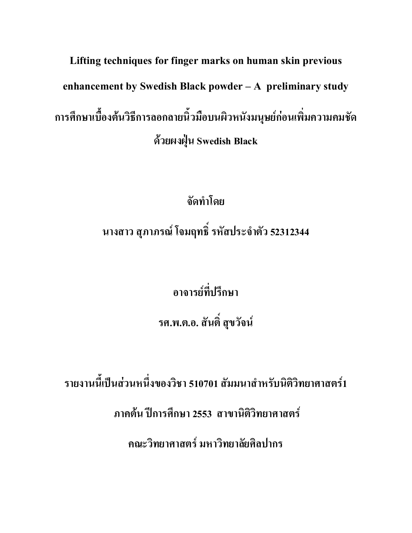Lifting techniques for finger marks on human skin previous enhancement by Swedish Black powder - A preliminary study การศึกษาเบื้องต้นวิธีการลอกลายนิ้วมือบนผิวหนังมนุษย์ก่อนเพิ่มความคมชัด ด้วยผงฝุ่น Swedish Black

> จัดทำโดย นางสาว สุภาภรณ์ โจมฤทธิ์ รหัสประจำตัว 52312344

> > อาจารย์ที่ปรึกษา

รศ.พ.ต.อ. สันติ์ สุขวัจน์

ีรายงานนี้เป็นส่วนหนึ่งของวิชา 510701 สัมมนาสำหรับนิติวิทยาศาสตร์1 ภาคต้น ปีการศึกษา 2553 สาขานิติวิทยาศาสตร์

ึกณะวิทยาศาสตร์ มหาวิทยาลัยศิลปากร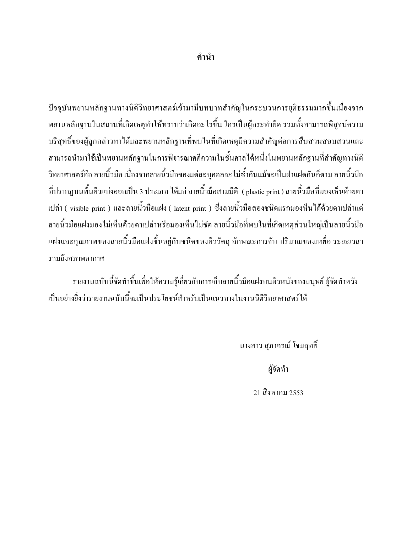ปัจจุบันพยานหลักฐานทางนิติวิทยาศาสตร์เข้ามามีบทบาทสำคัญในกระบวนการยุติธรรมมากขึ้นเนื่องจาก พยานหลักฐานในสถานที่เกิดเหตุทำให้ทราบว่าเกิดอะไรขึ้น ใครเป็นผู้กระทำผิด รวมทั้งสามารถพิสูจน์ความ บริสุทธิ์ของผู้ถูกกล่าวหาใด้และพยานหลักฐานที่พบในที่เกิดเหตุมีความสำคัญต่อการสืบสวนสอบสวนและ ี่ สามารถนำมาใช้เป็นพยานหลักฐานในการพิจารณาคดีความในชั้นศาลได้หนึ่งในพยานหลักฐานที่สำคัญทางนิติ ้วิทยาศาสตร์คือ ลายนิ้วมือ เนื่องจากลายนิ้วมือของแต่ละบุคคลจะ ไม่ซ้ำกันแม้จะเป็นฝาแฝดกันก็ตาม ลายนิ้วมือ ี่ ที่ปรากฏบนพื้นผิวแบ่งออกเป็น 3 ประเภท ได้แก่ ลายนิ้วมือสามมิติ ( plastic print ) ลายนิ้วมือที่มองเห็นด้วยตา แปล่า ( visible print ) และลายนิ้วมือแฝง ( latent print ) ซึ่งลายนิ้วมือสองชนิดแรกมองหึนได้ด้วยตาเปล่าแต่ ิลายนิ้วมือแฝงมองไม่เห็นด้วยตาเปล่าหรือมองเห็นไม่ชัด ลายนิ้วมือที่พบในที่เกิดเหตุส่วนใหญ่เป็นลายนิ้วมือ แฝงและคุณภาพของลายนิ้วมือแฝงขึ้นอยู่กับชนิดของผิววัตถุ ลักษณะการจับ ปริมาณของเหยื่อ ระยะเวลา รวมถึงสภาพอากาศ

รายงานฉบับนี้จัดทำขึ้นเพื่อให้ความรู้เกี่ยวกับการเก็บลายนิ้วมือแฝงบนผิวหนังของมนุษย์ ผู้จัดทำหวัง ้เป็นอย่างยิ่งว่ารายงานฉบับนี้จะเป็นประโยชน์สำหรับเป็นแนวทางในงานนิติวิทยาศาสตร์ได้

้นางสาว สุภาภรณ์ โจมฤทธิ์

ผู้จัดทำ

21 สิงหาคม 2553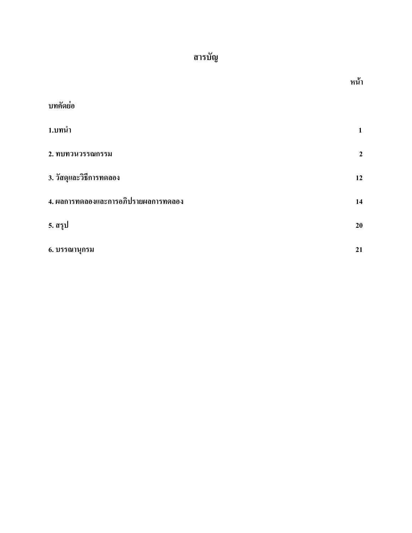# สารบัญ

|                                      | หน้า           |
|--------------------------------------|----------------|
| บทคัดย่อ                             |                |
| 1.บทนำ                               | 1              |
| 2. ทบทวนวรรณกรรม                     | $\overline{2}$ |
| 3. วัสดุและวิธีการทดลอง              | 12             |
| 4. ผลการทดลองและการอภิปรายผลการทดลอง | 14             |
| 5. สรุป                              | 20             |
| 6. บรรณานุกรม                        | 21             |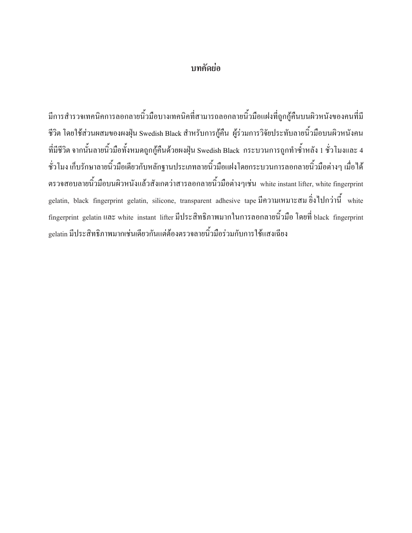#### บทคัดย่อ

มีการสำรวจเทคนิคการลอกลายนิ้วมือบางเทคนิคที่สามารถลอกลายนิ้วมือแฝงที่ถูกกู้คืนบนผิวหนังของคนที่มี ี่ชีวิต โดยใช้ส่วนผสมของผงฝุ่น Swedish Black สำหรับการกู้คืน ผู้ร่วมการวิจัยประทับลายนิ้วมือบนผิวหนังคน ี ที่มีชีวิต จากนั้นลายนิ้วมือทั้งหมดถูกกู้คืนด้วยผงฝุ่น Swedish Black กระบวนการถูกทำซ้ำหลัง 1 ชั่วโมงและ 4 ์ ชั่วโมง เก็บรักษาลายนิ้วมือเคียวกับหลักฐานประเภทลายนิ้วมือแฝงโคยกระบวนการลอกลายนิ้วมือต่างๆ เมื่อ ได้ ิตรวจสอบลายนิ้วมือบนผิวหนังแล้วสังเกตว่าสารลอกลายนิ้วมือต่างๆเช่น white instant lifter, white fingerprint gelatin, black fingerprint gelatin, silicone, transparent adhesive tape มีความเหมาะสม ซึ่งไปกว่านี้ white fingerprint gelatin และ white instant lifter มีประสิทธิภาพมากในการลอกลายนิ้วมือ โดยที่ black fingerprint gelatin มีประสิทธิภาพมากเช่นเดียวกันแต่ต้องตรวจลายนิ้วมือร่วมกับการใช้แสงเฉียง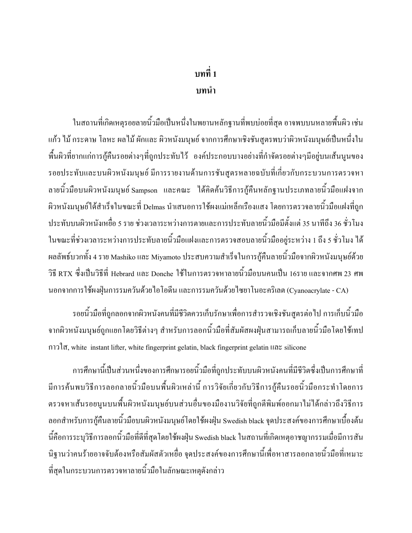## ำเทที่ 1

#### บทนำ

่ ในสถานที่เกิดเหตุรอยลายนิ้วมือเป็นหนึ่งในพยานหลักฐานที่พบบ่อยที่สุด อาจพบบนหลายพื้นผิว เช่น แก้ว ไม้ กระดาษ โลหะ ผล ไม้ ผักและ ผิวหนังมนุษย์ จากการศึกษาเชิงชันสูตรพบว่าผิวหนังมนุษย์เป็นหนึ่งใน ี พื้นผิวที่ยากแก่การกู้คืนรอยต่างๆที่ถูกประทับไว้ องค์ประกอบบางอย่างที่กำจัดรอยต่างๆมีอยู่บนเส้นนุนของ รอยประทับและบนผิวหนังมนุษย์ มีการรายงานด้านการชั้นสูตรหลายฉบับที่เกี่ยวกับกระบวนการตรวจหา ิ ลายนิ้วมือบนผิวหนังมนุษย์ Sampson และคณะ ได้คิดค้นวิธีการกู้คืนหลักฐานประเภทลายนิ้วมือแฝงจาก ้ผิวหนังมนุษย์ได้สำเร็จในขณะที่ Delmas นำเสนอการใช้ผงแม่เหล็กเรืองแสง โดยการตรวจลายนิ้วมือแฝงที่ถูก ี ประทับบนผิวหนังเหยื่อ 5 ราย ช่วงเวลาระหว่างการตายและการประทับลายนิ้วมือมีตั้งแต่ 35 นาทีถึง 36 ชั่วโมง ในขณะที่ช่วงเวลาระหว่างการประทับลายนิ้วมือแฝงและการตรวจสอบลายนิ้วมืออยู่ระหว่าง 1 ถึง 5 ชั่วโมง ใด้ ผลลัพธ์บวกทั้ง 4 ราย Mashiko และ Miyamoto ประสบความสำเร็จในการกู้คืนลายนิ้วมือจากผิวหนังมนุษย์ด้วย วิธี RTX ซึ่งเป็นวิธีที่ Hebrard และ Donche ใช้ในการตรวจหาลายนิ้วมือบนคนเป็น 16ราย และจากศพ 23 ศพ นอกจากการใช้ผงฝุ่นการรมควันด้วยไอโอดีน และการรมควันด้วยไซยาโนอะคริเลต (Cyanoacrylate - CA)

รอยนิ้วมือที่ถูกลอกจากผิวหนังคนที่มีชีวิตควรเก็บรักษาเพื่อการสำรวจเชิงชันสูตรต่อไป การเก็บนิ้วมือ ้จากผิวหนังมนุษย์ถูกแยกโดยวิธีต่างๆ สำหรับการลอกนิ้วมือที่สัมผัสผงฝุ่นสามารถเก็บลายนิ้วมือโดยใช้เทป กาวใส, white instant lifter, white fingerprint gelatin, black fingerprint gelatin และ silicone

ึการศึกษานี้เป็นส่วนหนึ่งของการศึกษารอยนิ้วมือที่ถูกประทับบนผิวหนังคนที่มีชีวิตซึ่งเป็นการศึกษาที่ ้มีการค้นพบวิธีการลอกลายนิ้วมือบนพื้นผิวเหล่านี้ การวิจัยเกี่ยวกับวิธีการกู้คืนรอยนิ้วมือกระทำโคยการ ้ตรวจหาเส้นรอยนุนบนพื้นผิวหนังมนุษย์บนส่วนอื่นของมืองานวิจัยที่ถูกตีพิมพ์ออกมาไม่ได้กล่าวถึงวิธีการ ิลอกสำหรับการกู้คืนลายนิ้วมือบนผิวหนังมนุษย์โดยใช้ผงฝุ่น Swedish black จุดประสงค์ของการศึกษาเบื้องต้น นี้คือการระบุวิธีการลอกนิ้วมือที่ดีที่สุดโดยใช้ผงฝุ่น Swedish black ในสถานที่เกิดเหตุอาชญากรรมเมื่อมีการสัน ้นิฐานว่าคนร้ายอาจจับต้องหรือสัมผัสตัวเหยื่อ จุดประสงค์ของการศึกษานี้เพื่อหาสารลอกลายนิ้วมือที่เหมาะ ที่สุดในกระบวนการตรวจหาลายนิ้วมือในลักษณะเหตุดังกล่าว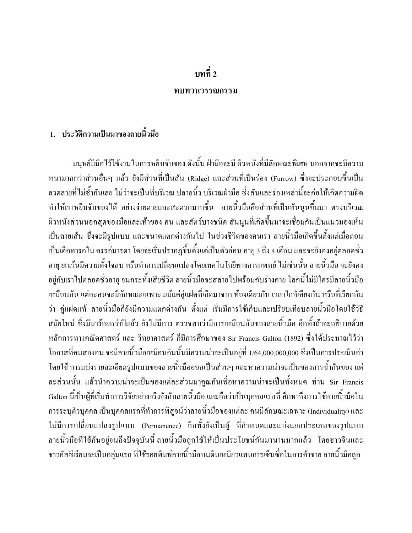#### ำเทที่ ว

#### ทบทวนวรรณกรรม

#### 1. ประวัติความเป็นมาของลายนิ้วมือ

้ มนุษย์มีมือไว้ใช้งานในการหยิบจับของ ดังนั้น ฝ่ามือจะมี ผิวหนังที่มีลักษณะพิเศษ นอกจากจะมีความ หนามากกว่าส่วนอื่นๆ แล้ว ยังมีส่วนที่เป็นสัน (Ridge) และส่วนที่เป็นร่อง (Furrow) ซึ่งจะประกอบขึ้นเป็น ้ลวดลายที่ไม่ซ้ำกันเลย ไม่ว่าจะเป็นที่บริเวณ ปลายนิ้ว บริเวณฝ่ามือ ซึ่งสันและร่องเหล่านี้จะก่อให้เกิดความฝืด ทำให้เราหยิบจับของได้ อย่างง่ายดายและสะดวกมากขึ้น ลายนิ้วมือคือส่วนที่เป็นสันนูนขึ้นมา ตรงบริเวณ ้ผิวหนังส่วนนอกสุดของมือและเท้าของ คน และสัตว์บางชนิด สันนูนที่เกิดขึ้นมาจะเชื่อมกันเป็นแนวมองเห็น เป็นลายเส้น ซึ่งจะมีรูปแบบ และขนาดแตกต่างกันไป ในช่วงชีวิตของคนเรา ลายนิ้วมือเกิดขึ้นตั้งแต่เมื่อตอน เป็นเด็กทารกใน ครรภ์มารดา โดยจะเริ่มปรากฏขึ้นตั้งแต่เป็นตัวอ่อน อายุ 3 ถึง 4 เดือน และจะยังคงอยู่ตลอดชั่ว ี อาย ยกเว้นมีความตั้งใจลบ หรือทำการเปลี่ยนแปลงโดยเทคโนโลยีทางการแพทย์ ไม่เช่นนั้น ลายนิ้วมือ จะยังคง ้อยู่กับเราไปตลอดชั่วอายุ จนกระทั่งเสียชีวิต ลายนิ้วมือจะสลายไปพร้อมกับร่างกาย โลกนี้ไม่มีใครมีลายนิ้วมือ ้เหมือนกัน แต่ละคนจะมีลักษณะเฉพาะ แม้แต่คู่แฝดที่เกิดมาจาก ท้องเดียวกัน เวลาใกล้เคียงกัน หรือที่เรียกกัน ว่า คู่แฝดแท้ ลายนิ้วมือก็ยังมีความแตกต่างกัน ตั้งแต่ เริ่มมีการใช้เก็บและเปรียบเทียบลายนิ้วมือโดยใช้วิธี ิสมัยใหม่ ซึ่งมีมาร้อยกว่าปีแล้ว ยังไม่มีการ ตรวจพบว่ามีการเหมือนกันของลายนิ้วมือ อีกทั้งถ้าจะอธิบายด้วย หลักการทางคณิตศาสตร์ และ วิทยาศาสตร์ ก็มีการศึกษาของ Sir Francis Galton (1892) ซึ่งได้ประมาณไว้ว่า โอกาสที่คนสองคน จะมีลายนิ้วมือเหมือนกันนั้นมีความน่าจะเป็นอยู่ที่ 1/64,000,000,000 ซึ่งเป็นการประเมินค่า โดยใช้ การแบ่งรายละเอียดรูปแบบของลายนิ้วมือออกเป็นส่วนๆ และหาความน่าจะเป็นของการซ้ำกันของ แต่ ิละส่วนนั้น แล้วนำความน่าจะเป็นของแต่ละส่วนมาคูณกันเพื่อหาความน่าจะเป็นทั้งหมด ท่าน Sir Francis Galton นี้เป็นผู้ที่เริ่มทำการวิจัยอย่างจริงจังกับลายนิ้วมือ และถือว่าเป็นบุคคลแรกที่ ศึกษาถึงการใช้ลายนิ้วมือใน ิ การระบุตัวบุคคล เป็นบุคคลแรกที่ทำการพิสูจน์ว่าลายนิ้วมือของแต่ละ คนมีลักษณะเฉพาะ (Individuality) และ ไม่มีการเปลี่ยนแปลงรูปแบบ (Permanence) อีกทั้งยังเป็นผู้ ที่กำหนดและแบ่งแยกประเภทของรูปแบบ ลายนิ้วมือที่ใช้กันอยู่จนถึงปัจจุบันนี้ ลายนิ้วมือถูกใช้ให้เป็นประโยชน์กันมานานมากแล้ว โดยชาวจีนและ ิ ชาวอัสซีเรียนจะเป็นกลุ่มแรก ที่ใช้รอยพิมพ์ลายนิ้วมือบนดินเหนียวแทนการเซ็นซื่อในการค้าขาย ลายนิ้วมือถูก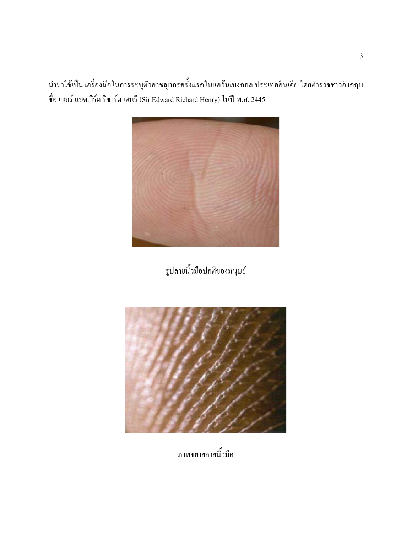นำมาใช้เป็น เครื่องมือในการระบุตัวอาชญากรครั้งแรกในแคว้นเบงกอล ประเทศอินเดีย โดยตำรวจชาวอังกฤษ ชื่อ เซอร์ แอคเวิร์ค ริชาร์ค เฮนรี (Sir Edward Richard Henry) ในปี พ.ศ. 2445



รูปลายนิ้วมือปกติของมนุษย์



ภาพขยายลายนิ้วมือ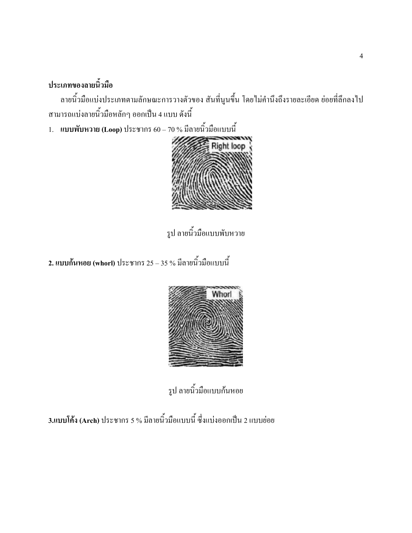# ประเภทของลายนิ้วมือ

ิลายนิ้วมือแบ่งประเภทตามลักษณะการวางตัวของ สันที่นูนขึ้น โดยไม่คำนึงถึงรายละเอียด ย่อยที่ลึกลงไป ี สามารถแบ่งลายนิ้วมือหลักๆ ออกเป็น 4 แบบ ดังนี้

1. แบบพับหวาย (Loop) ประชากร 60 – 70 % มีลายนิ้วมือแบบนี้



รูป ลายนิ้วมือแบบพับหวาย

2. แบบก้นหอย (whorl) ประชากร 25 – 35 % มีลายนิ้วมือแบบนี้



รูป ลายนิ้วมือแบบก้นหอย

3.แบบโค้ง (Arch) ประชากร 5 % มีลายนิ้วมือแบบนี้ ซึ่งแบ่งออกเป็น 2 แบบย่อย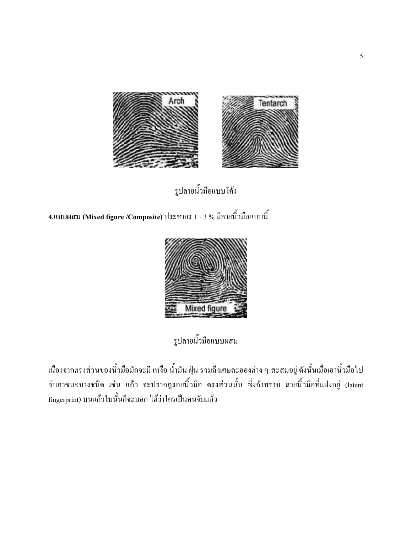

รูปลายนิ้วมือแบบโค้ง

4.แบบผสม (Mixed figure /Composite) ประชากร 1 - 3 % มีลายนิ้วมือแบบนี้



รูปลายนิ้วมือแบบผสม

เนื่องจากตรงส่วนของนิ้วมือมักจะมี เหงื่อ น้ำมัน ฝุ่น รวมถึงเศษละอองต่าง ๆ สะสมอยู่ ดังนั้นเมื่อเอานิ้วมือไป จับภาชนะบางชนิด เช่น แก้ว จะปรากฏรอยนิ้วมือ ตรงส่วนนั้น ซึ่งถ้าทราบ ลายนิ้วมือที่แฝงอยู่ (latent fingerprint) บนแก้วใบนั้นก็จะบอก ได้ว่าใครเป็นคนจับแก้ว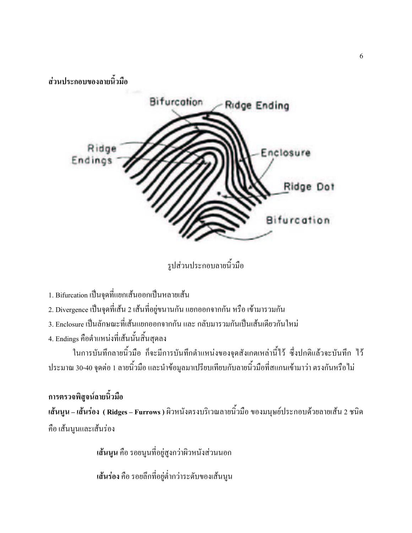ส่วนประกอบของลายนิ้วมือ



รูปส่วนประกอบลายนิ้วมือ

- 1. Bifurcation เป็นจุดที่แยกเส้นออกเป็นหลายเส้น
- 2. Divergence เป็นจุดที่เส้น 2 เส้นที่อยู่ขนานกัน แยกออกจากกัน หรือ เข้ามารวมกัน
- 3. Enclosure เป็นลักษณะที่เส้นแยกออกจากกัน และ กลับมารวมกันเป็นเส้นเดียวกันใหม่
- 4. Endings คือตำแหน่งที่เส้นนั้นสิ้นสุดลง

ในการบันทึกลายนิ้วมือ ก็จะมีการบันทึกตำแหน่งของจุดสังเกตเหล่านี้ไว้ ซึ่งปกติแล้วจะบันทึก ไว้ ี ประมาณ 30-40 จุดต่อ 1 ลายนิ้วมือ และนำข้อมูลมาเปรียบเทียบกับลายนิ้วมือที่สแกนเข้ามาว่า ตรงกันหรือไม่

การตรวจพิสูจน์ลายนิ้วมือ เ<mark>ส้นนูน – เส้นร่อง ( Ridges – Furrows )</mark> ผิวหนังตรงบริเวณลายนิ้วมือ ของมนุษย์ประกอบด้วยลายเส้น 2 ชนิด คือ เส้นนูนและเส้นร่อง

เส้นนูน คือ รอยนูนที่อยู่สูงกว่าผิวหนังส่วนนอก

้เ**ส้นร่อง** คือ รอยลึกที่อยู่ต่ำกว่าระดับของเส้นนูน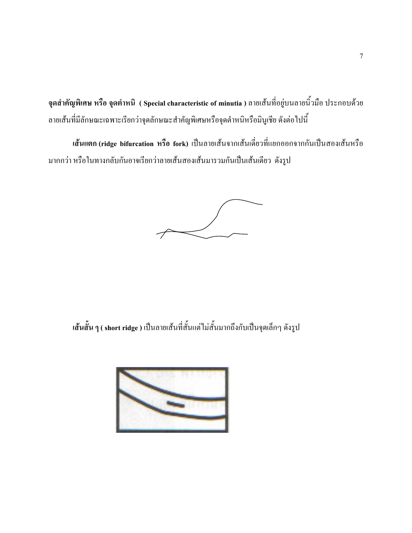จุดสำคัญพิเศษ หรือ จุดตำหนิ ( Special characteristic of minutia ) ถายเส้นที่อยู่บนถายนิ้วมือ ประกอบด้วย ้ ลายเส้นที่มีลักษณะเฉพาะเรียกว่าจุดลักษณะสำคัญพิเศษหรือจุดตำหนิหรือมินูเชีย ดังต่อไปนี้

เส้นแตก (ridge bifurcation หรือ fork) เป็นลายเส้นจากเส้นเดี่ยวที่แยกออกจากกันเป็นสองเส้นหรือ มากกว่า หรือในทางกลับกันอาจเรียกว่าลายเส้นสองเส้นมารวมกันเป็นเส้นเดียว ดังรูป

เ<mark>ส้นสั้น ๆ ( short ridge</mark> ) เป็นลายเส้นที่สั้นแต่ไม่สั้นมากถึงกับเป็นจุดเล็กๆ ดังรูป

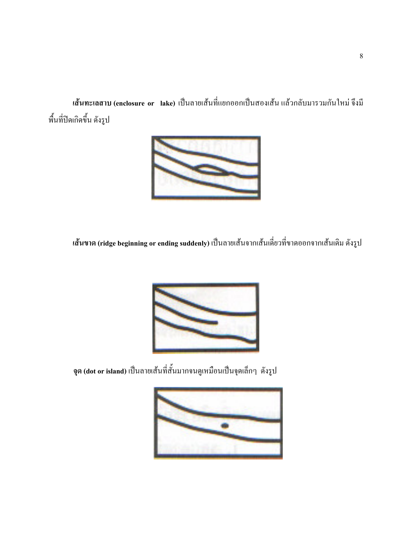เ<mark>ส้นทะเลสาบ (enclosure or lake)</mark> เป็นลายเส้นที่แยกออกเป็นสองเส้น แล้วกลับมารวมกันใหม่ จึงมี พื้นที่ปิดเกิดขึ้น ดังรูป



เ<mark>ส้นขาด (ridge beginning or ending suddenly</mark>) เป็นลายเส้นจากเส้นเดี่ยวที่ขาดออกจากเส้นเดิม ดังรูป



จุด (dot or island) เป็นลายเส้นที่สั้นมากจนดูเหมือนเป็นจุดเล็กๆ ดังรูป

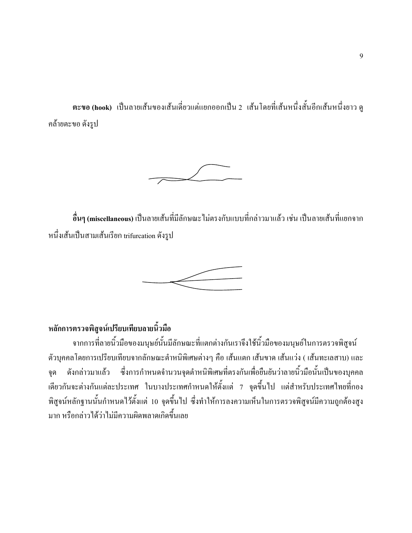ตะขอ (hook) เป็นลายเส้นของเส้นเดี่ยวแต่แยกออกเป็น 2 เส้นโดยที่เส้นหนึ่งสั้นอีกเส้นหนึ่งยาว ดู คล้ายตะขอ ดังรูป



อื่นๆ (miscellaneous) เป็นลายเส้นที่มีลักษณะ ไม่ตรงกับแบบที่กล่าวมาแล้ว เช่น เป็นลายเส้นที่แยกจาก หนึ่งเส้นเป็นสามเส้นเรียก trifurcation ดังรูป



#### หลักการตรวจพิสูจน์เปรียบเทียบลายนิ้วมือ

จากการที่ลายนิ้วมือของมนุษย์นั้นมีลักษณะที่แตกต่างกันเราจึงใช้นิ้วมือของมนุษย์ในการตรวจพิสูจน์ ตัวบุคคลโดยการเปรียบเทียบจากลักษณะตำหนิพิเศษต่างๆ คือ เส้นแตก เส้นขาด เส้นแว่ง ( เส้นทะเลสาบ) และ ี คังกล่าวมาแล้ว ซึ่งการกำหนดจำนวนจุดตำหนิพิเศษที่ตรงกันเพื่อยืนยันว่าลายนิ้วมือนั้นเป็นของบุคคล าด เดียวกันจะต่างกันแต่ละประเทศ ในบางประเทศกำหนดให้ตั้งแต่ 7 จุดขึ้นไป แต่สำหรับประเทศไทยที่กอง ีพิสูจน์หลักฐานนั้นกำหนดไว้ตั้งแต่ 10 จุดขึ้นไป ซึ่งทำให้การลงความเห็นในการตรวจพิสูจน์มีความถูกต้องสูง ิมาก หรือกล่าวได้ว่าไม่มีความผิดพลาดเกิดขึ้นเลย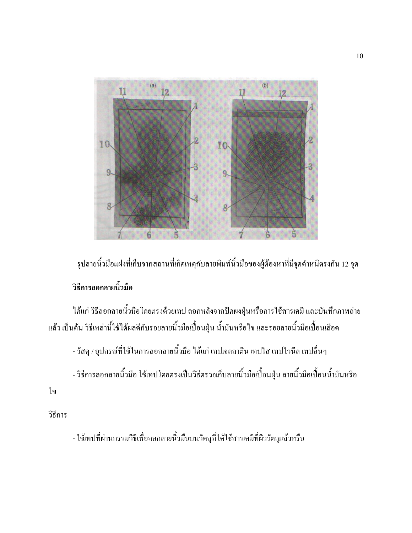

รูปลายนิ้วมือแฝงที่เก็บจากสถานที่เกิดเหตุกับลายพิมพ์นิ้วมือของผู้ต้องหาที่มีจุดตำหนิตรงกัน 12 จุด วิธีการลอกลายนิ้วมือ

ได้แก่ วิธีลอกลายนิ้วมือโดยตรงด้วยเทป ลอกหลังจากปัดผงฝุ่นหรือการใช้สารเคมี และบันทึกภาพถ่าย แล้ว เป็นต้น วิธีเหล่านี้ใช้ได้ผลดีกับรอยลายนิ้วมือเปื้อนฝุ่น น้ำมันหรือไข และรอยลายนิ้วมือเปื้อนเลือด

- วัสดุ / อุปกรณ์ที่ใช้ในการลอกลายนิ้วมือ ได้แก่ เทปเจลลาติน เทปใส เทปไวนีล เทปอื่นๆ

- วิธีการลอกลายนิ้วมือ ใช้เทปโดยตรงเป็นวิธีตรวจเก็บลายนิ้วมือเปื้อนฝุ่น ลายนิ้วมือเปื้อนน้ำมันหรือ

ๆข

วิธีการ

- ใช้เทปที่ผ่านกรรมวิธีเพื่อลอกลายนิ้วมือบนวัตถุที่ได้ใช้สารเคมีที่ผิววัตถุแล้วหรือ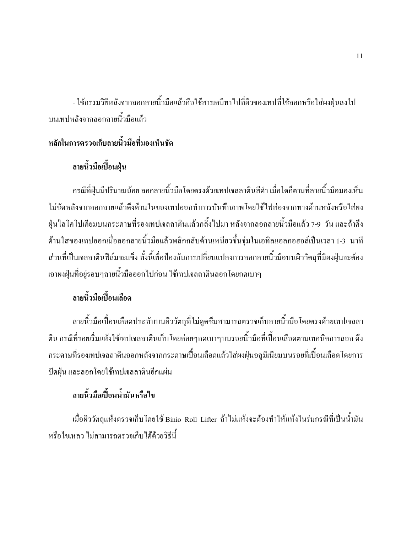- ใช้กรรมวิธีหลังจากลอกลายนิ้วมือแล้วคือใช้สารเคมีทาไปที่ผิวของเทปที่ใช้ลอกหรือใส่ผงฝุ่นลงไป บนเทปหลังจากลอกลายนิ้วมือแล้ว

### หลักในการตรวจเก็บลายนิ้วมือที่มองเห็นชัด

## ลายนิ้วมือเปื้อนฝุ่น

้กรณีที่ฝุ่นมีปริมาณน้อย ลอกลายนิ้วมือโดยตรงด้วยเทปเจลลาตินสีดำ เมื่อใดก็ตามที่ลายนิ้วมือมองเห็น ใม่ชัดหลังจากลอกลายแล้วดึงด้านในของเทปออกทำการบันทึกภาพโดยใช้ไฟส่องจากทางด้านหลังหรือใส่ผง ้ฝุ่นใลโคโปเดียมบนกระดาษที่รองเทปเจลลาตินแล้วกลิ้งใปมา หลังจากลอกลายนิ้วมือแล้ว 7-9 วัน และถ้าดึง ่ ค้านใสของเทปออกเมื่อลอกลายนิ้วมือแล้วพลิกกลับค้านเหนียวขึ้นจุ่มในเอทิลแอลกอฮอล์เป็นเวลา 1-3 นาที ้ ส่วนที่เป็นเจลลาตินฟิล์มจะแข็ง ทั้งนี้เพื่อป้องกันการเปลี่ยนแปลงการลอกลายนิ้วมือบนผิววัตถุที่มีผงฝุ่นจะต้อง เอาผงฝุ่นที่อยู่รอบๆลายนิ้วมือออกไปก่อน ใช้เทปเจลลาตินลอกโดยกดเบาๆ

# ลายนิ้วมือเปื้อนเลือด

ลายนิ้วมือเปื้อนเลือดประทับบนผิววัตถุที่ไม่ดูดซึมสามารถตรวจเก็บลายนิ้วมือโดยตรงด้วยเทปเจลลา ้ติน กรณีที่รอยเริ่มแห้งใช้เทปเจลลาตินเก็บโดยค่อยๆกดเบาๆบนรอยนิ้วมือที่เปื้อนเลือดตามเทคนิคการลอก ดึง ้ กระดาษที่รองเทปเจลลาตินออกหลังจากกระดาษเปื้อนเลือดแล้วใส่ผงฝุ่นอลูมิเนียมบนรอยที่เปื้อนเลือดโดยการ ปัดฝุ่น และลอกโดยใช้เทปเจลลาตินอีกแผ่น

## ลายนิ้วมือเปื้อนน้ำมันหรือไข

้เมื่อผิววัตถแห้งตรวจเก็บโดยใช้ Binio Roll Lifter ถ้าไม่แห้งจะต้องทำให้แห้งในร่มกรณีที่เป็นน้ำมัน หรือไขเหลว ไม่สามารถตรวจเก็บได้ด้วยวิธีนี้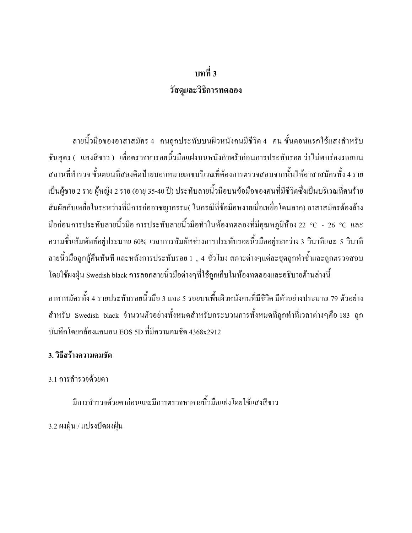# ึบทที่ 3 วัสดุและวิธีการทดลอง

ลายนิ้วมือของอาสาสมัคร 4 คนถูกประทับบนผิวหนังคนมีชีวิต 4 คน ขั้นตอนแรกใช้แสงสำหรับ ี ชันสูตร ( แสงสีขาว ) เพื่อตรวจหารอยนิ้วมือแฝงบนหนังกำพร้าก่อนการประทับรอย ว่าไม่พบร่องรอยบน ิสถานที่สำรวจ ขั้นตอนที่สองติดป้ายบอกหมายเลขบริเวณที่ต้องการตรวจสอบจากนั้นให้อาสาสมัครทั้ง 4 ราย เป็นผู้ชาย 2 ราย ผู้หญิง 2 ราย (อายุ 35-40 ปี) ประทับลายนิ้วมือบนข้อมือของคนที่มีชีวิตซึ่งเป็นบริเวณที่คนร้าย ี สัมผัสกับเหยื่อในระหว่างที่มีการก่ออาชญากรรม( ในกรณีที่ข้อมือหงายเมื่อเหยื่อโดนลาก) อาสาสมัครต้องล้าง มือก่อนการประทับลายนิ้วมือ การประทับลายนิ้วมือทำในห้องทคลองที่มีอุณหภูมิห้อง 22 °C - 26 °C และ ี ความชื้นสัมพัทธ์อยู่ประมาณ 60% เวลาการสัมผัสช่วงการประทับรอยนิ้วมืออยู่ระหว่าง 3 วินาทีและ 5 วินาที ี ลายนิ้วมือถูกกู้คืนทันที และหลังการประทับรอย 1 , 4 ชั่วโมง สภาะต่างๆแต่ละชุดถูกทำซ้ำและถูกตรวจสอบ โดยใช้ผงฝุ่น Swedish black การลอกลายนิ้วมือต่างๆที่ใช้ถูกเก็บในห้องทดลองและอธิบายด้านล่างนี้

้อาสาสมัครทั้ง 4 รายประทับรอยนิ้วมือ 3 และ 5 รอยบนพื้นผิวหนังคนที่มีชิวิต มีตัวอย่างประมาณ 79 ตัวอย่าง ี สำหรับ Swedish black จำนวนตัวอย่างทั้งหมดสำหรับกระบวนการทั้งหมดที่ถูกทำที่เวลาต่างๆคือ 183 ถูก ู้ บันทึกโดยกล้องแคนอน EOS 5D ที่มีความคมชัด 4368x2912

#### 3. วิธีสร้างความคมชัด

3 1 การสำรวจด้วยตา

มีการสำรวจด้วยตาก่อนและมีการตรวจหาลายนิ้วมือแฝงโดยใช้แสงสีขาว 3.2 ผงฝัน / แปรงปัดผงฝัน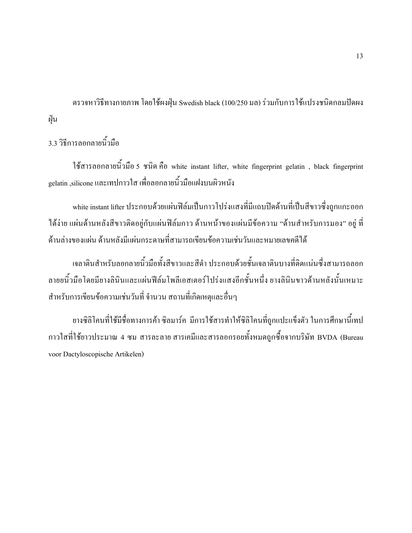ี ตรวจหาวิธีทางกายภาพ โดยใช้ผงฝุ่น Swedish black (100/250 มล) ร่วมกับการใช้แปรงชนิดกลมปัดผง ฝุ่น

3.3 วิธีการลอกลายนิ้วมือ

ใช้สารลอกลายนิ้วมือ 5 ชนิด คือ white instant lifter, white fingerprint gelatin, black fingerprint gelatin ,silicone และเทปกาวใส เพื่อลอกลายนิ้วมือแฝงบนผิวหนัง

white instant lifter ประกอบด้วยแผ่นฟิล์มเป็นกาวโปร่งแสงที่มีแถบปิดด้านที่เป็นสีขาวซึ่งถูกแกะออก ใด้ง่าย แผ่นด้านหลังสีขาวติดอยู่กับแผ่นฟิล์มกาว ด้านหน้าของแผ่นมีข้อความ "ด้านสำหรับการมอง" อยู่ ที่ ้ด้านล่างของแผ่น ด้านหลังมีแผ่นกระดาษที่สามารถเขียนข้อความเช่นวันและหมายเลขคดีได้

เจลาตินสำหรับลอกลายนิ้วมือทั้งสีขาวและสีดำ ประกอบด้วยชั้นเจลาตินบางที่ติดแน่นซึ่งสามารถลอก ิลายยนิ้วมือโดยมียางลินินและแผ่นฟีล์มโพลีเอสเตอร์โปร่งแสงอีกชั้นหนึ่ง ยางลินินขาวด้านหลังนั้นเหมาะ ี สำหรับการเขียนข้อความเช่นวันที่ จำนวน สถานที่เกิดเหตุและอื่นๆ

้ยางซิลิโคนที่ใช้มีชื่อทางการค้า ซิลมาร์ค มีการใช้สารทำให้ซิลิโคนที่ถูกแปะแข็งตัว ในการศึกษานี้เทป ี กาวใสที่ใช้ยาวประมาณ 4 ซม สารละลาย สารเคมีและสารลอกรอยทั้งหมดถูกซื้อจากบริษัท BVDA (Bureau voor Dactyloscopische Artikelen)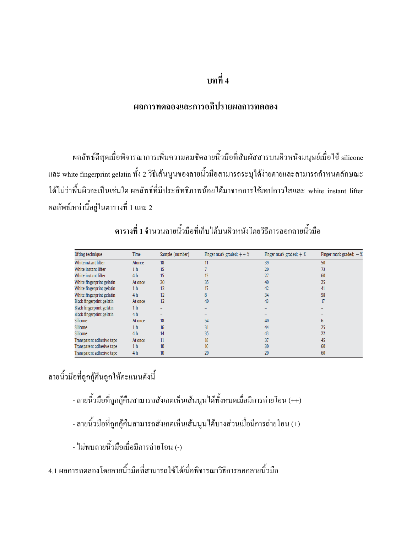#### บทที่ 4

#### ผลการทดลองและการอภิปรายผลการทดลอง

ผลลัพธ์ดีสุดเมื่อพิจารณาการเพิ่มความคมชัดลายนิ้วมือที่สัมผัสสารบนผิวหนังมนุษย์เมื่อใช้ silicone และ white fingerprint gelatin ทั้ง 2 วิธีเส้นนูนของลายนิ้วมือสามารถระบุได้ง่ายดายและสามารถกำหนดลักษณะ ใค้ไม่ว่าพื้นผิวจะเป็นเช่นใด ผลลัพธ์ที่มีประสิทธิภาพน้อยได้มาจากการใช้เทปกาวใสและ white instant lifter ผลลัพธ์เหล่านี้อยู่ในตารางที่ 1 และ 2

| Lifting technique         | Time           | Sample (number) | Finger mark graded: $++$ % | Finger mark graded: $+$ % | Finger mark graded: $-$ % |
|---------------------------|----------------|-----------------|----------------------------|---------------------------|---------------------------|
| Whiteinstant lifter       | Atonce         | 18              |                            | 39                        | 50                        |
| White instant lifter      | 1 <sub>h</sub> | 15              |                            | 20                        | 73                        |
| White instant lifter      | 4 <sub>h</sub> | 15              | 13                         |                           | 60                        |
| White fingerprint gelatin | At once        | 20              | 35                         | 40                        | 25                        |
| White fingerprint gelatin | 1 <sub>h</sub> | 12              | 17                         | 42                        | 41                        |
| White fingerprint gelatin | 4 h            | 12              |                            | 34                        | 58                        |
| Black fingerprint gelatin | At once        | 12              | 40                         | 43                        | 17                        |
| Black fingerprint gelatin | 1 <sub>h</sub> |                 |                            |                           |                           |
| Black fingerprint gelatin | 4 <sub>h</sub> |                 |                            |                           |                           |
| Silicone                  | At once        | 18              | 54                         | 40                        |                           |
| Silicone                  | 1 h            | 16              | 31                         | 44                        | 25                        |
| Silicone                  | 4 <sub>h</sub> | 14              | 35                         | 43                        | 22                        |
| Transparent adhesive tape | At once        | 11              | 18                         | 37                        | 45                        |
| Transparent adhesive tape | 1 <sub>h</sub> | 10              | 10 <sup>10</sup>           | 30                        | 60                        |
| Transparent adhesive tape | 4 h            | 10              | 20                         | 20                        | 60                        |

ี ตารางที่ 1 จำนวนลายนิ้วมือที่เก็บได้บนผิวหนังโดยวิธีการลอกลายนิ้วมือ

ลายนิ้วมือที่ถูกกู้คืนถูกให้คะแนนดังนี้

- ลายนิ้วมือที่ถูกกู้คืนสามารถสังเกตเห็นเส้นนูนได้ทั้งหมดเมื่อมีการถ่ายโอน (++)

- ลายนิ้วมือที่ถูกกู้คืนสามารถสังเกตเห็นเส้นนูนได้บางส่วนเมื่อมีการถ่ายโอน (+)

- ไม่พบลายนิ้วมือเมื่อมีการถ่ายโอน (-)

4.1 ผลการทดลองโดยลายนิ้วมือที่สามารถใช้ได้เมื่อพิจารณาวิธีการลอกลายนิ้วมือ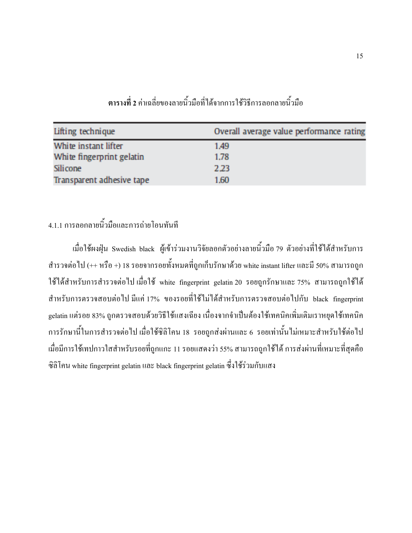| Lifting technique         | Overall average value performance rating |
|---------------------------|------------------------------------------|
| White instant lifter      | 1.49                                     |
| White fingerprint gelatin | 1.78                                     |
| <b>Silicone</b>           | 2.23                                     |
| Transparent adhesive tape | 1.60                                     |

ี ตารางที่ 2 ค่าเฉลี่ยของลายนิ้วมือที่ได้จากการใช้วิธีการลอกลายนิ้วมือ

## 4.1.1 การลอกลายนิ้วมือและการถ่ายโอนทันที

เมื่อใช้ผงฝุ่น Swedish black ผู้เข้าร่วมงานวิจัยลอกตัวอย่างลายนิ้วมือ 79 ตัวอย่างที่ใช้ได้สำหรับการ ี สำรวจต่อไป (++ หรือ +) 18 รอยจากรอยทั้งหมดที่ถูกเก็บรักษาด้วย white instant lifter และมี 50% สามารถถูก ใช้ได้สำหรับการสำรวจต่อไป เมื่อใช้ white fingerprint gelatin 20 รอยถูกรักษาและ 75% สามารถถูกใช้ได้ ี สำหรับการตรวจสอบต่อไป มีแก่ 17% ของรอยที่ใช้ไม่ได้สำหรับการตรวจสอบต่อไปกับ black fingerprint gelatin แต่รอย 83% ถูกตรวจสอบด้วยวิธีใช้แสงเฉียง เนื่องจากจำเป็นต้องใช้เทคนิคเพิ่มเติมเราหยุดใช้เทคนิค ี การรักษานี้ในการสำรวจต่อไป เมื่อใช้ซิลิโคน 18 รอยถูกส่งผ่านและ 6 รอยเท่านั้นไม่เหมาะสำหรับใช้ต่อไป เมื่อมีการใช้เทปกาวใสสำหรับรอยที่ถูกแกะ 11 รอยแสดงว่า 55% สามารถถูกใช้ได้ การส่งผ่านที่เหมาะที่สุดคือ ซิลิโคน white fingerprint gelatin และ black fingerprint gelatin ซึ่งใช้ร่วมกับแสง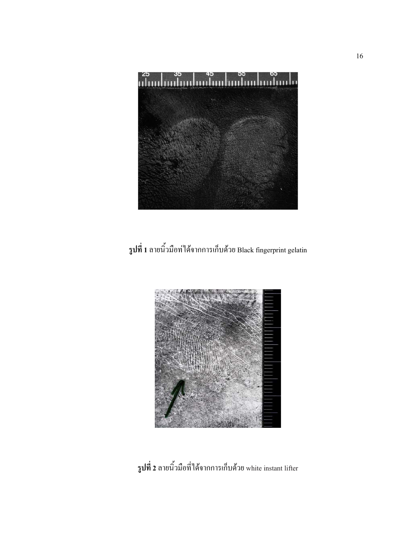

รูปที่ 1 ลายนิ้วมือท่ได้จากการเก็บด้วย Black fingerprint gelatin



รูปที่ 2 ลายนิ้วมือที่ได้จากการเก็บด้วย white instant lifter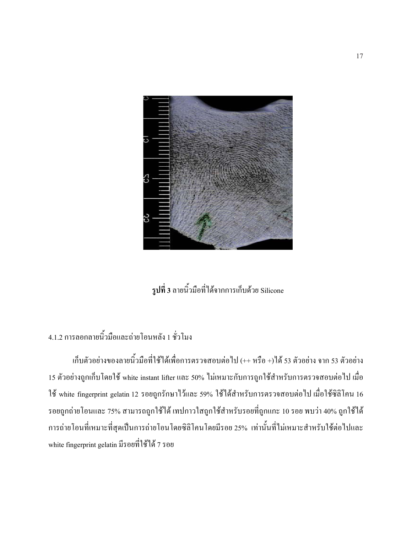

รูปที่ 3 ลายนิ้วมือที่ได้จากการเก็บด้วย Silicone

#### 4.1.2 การลอกลายนิ้วมือและถ่ายโอนหลัง 1 ชั่วโมง

เก็บตัวอย่างของลายนิ้วมือที่ใช้ได้เพื่อการตรวจสอบต่อไป (++ หรือ +)ได้ 53 ตัวอย่าง จาก 53 ตัวอย่าง 15 ตัวอย่างถูกเก็บโดยใช้ white instant lifter และ 50% ใม่เหมาะกับการถูกใช้สำหรับการตรวจสอบต่อไป เมื่อ ใช้ white fingerprint gelatin 12 รอยถูกรักษาไว้และ 59% ใช้ได้สำหรับการตรวจสอบต่อไป เมื่อใช้ซิลิโคน 16 ้ รอยถูกถ่ายโอนและ 75% สามารถถูกใช้ได้ เทปกาวใสถูกใช้สำหรับรอยที่ถูกแกะ 10 รอย พบว่า 40% ถูกใช้ได้ ึการถ่ายโอนที่เหมาะที่สุดเป็นการถ่ายโอนโดยซิลิโคนโดยมีรอย 25% เท่านั้นที่ไม่เหมาะสำหรับใช้ต่อไปและ white fingerprint gelatin มีรอยที่ใช้ได้ 7 รอย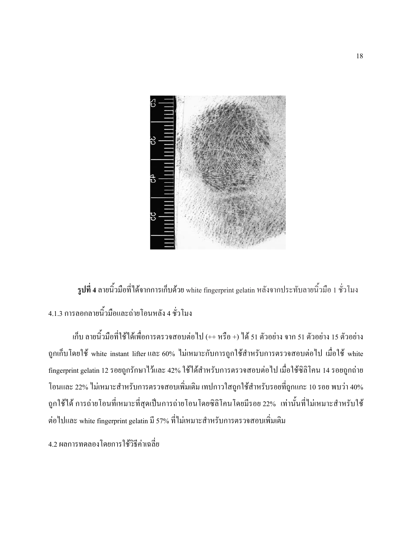

**รูปที่ 4** ลายนิ้วมือที่ได้จากการเก็บด้วย white fingerprint gelatin หลังจากประทับลายนิ้วมือ 1 ชั่วโมง 4.1.3 การลอกลายนิ้วมือและถ่ายโอนหลัง 4 ชั่วโมง

เก็บ ลายนิ้วมือที่ใช้ได้เพื่อการตรวจสอบต่อไป (++ หรือ +) ได้ 51 ตัวอย่าง จาก 51 ตัวอย่าง 15 ตัวอย่าง ถูกเก็บโดยใช้ white instant lifter และ 60% ใม่เหมาะกับการถูกใช้สำหรับการตรวจสอบต่อไป เมื่อใช้ white - fingerprint gelatin 12 รอยถูกรักษาไว้และ 42% ใช้ได้สำหรับการตรวจสอบต่อไป เมื่อใช้ซิลิโคน 14 รอยถูกถ่าย โอนและ 22% ไม่เหมาะสำหรับการตรวจสอบเพิ่มเติม เทปกาวใสถูกใช้สำหรับรอยที่ถูกแกะ 10 รอย พบว่า 40% ้ถูกใช้ใค้ การถ่ายโอนที่เหมาะที่สุดเป็นการถ่ายโอนโดยซิลิโคนโดยมีรอย 22% เท่านั้นที่ไม่เหมาะสำหรับใช้ ต่อไปและ white fingerprint gelatin มี 57% ที่ไม่เหมาะสำหรับการตรวจสอบเพิ่มเติม

4.2 ผลการทดลองโดยการใช้วิธีค่าเฉลี่ย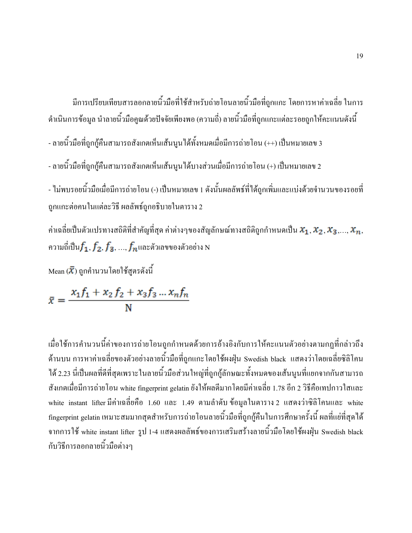มีการเปรียบเทียบสารลอกลายนิ้วมือที่ใช้สำหรับถ่ายโอนลายนิ้วมือที่ถูกแกะ โดยการหาค่าเฉลี่ย ในการ ดำเนินการข้อมูล นำลายนิ้วมือคูณค้วยปัจจัยเพียงพอ (ความถี่) ลายนิ้วมือที่ถูกแกะแต่ละรอยถูกให้คะแนนดังนี้

- ลายนิ้วมือที่ถูกกู้คืนสามารถสังเกตเห็นเส้นนูนได้ทั้งหมดเมื่อมีการถ่ายโอน (++) เป็นหมายเลข 3

- ลายนิ้วมือที่ถูกกู้คืนสามารถสังเกตเห็นเส้นนูนได้บางส่วนเมื่อมีการถ่ายโอน (+) เป็นหมายเลข 2

- "ไม่พบรอยนิ้วมือเมื่อมีการถ่ายโอน (-) เป็นหมายเลข 1 ดังนั้นผลลัพธ์ที่ได้ถูกเพิ่มและแบ่งด้วยจำนวนของรอยที่ ถูกแกะต่อคนในแต่ละวิธี ผลลัพธ์ถูกอธิบายในตาราง 2

ค่าเฉลี่ยเป็นตัวแปรทางสถิติที่สำคัญที่สุด ค่าต่างๆของสัญลักษณ์ทางสถิติถูกกำหนดเป็น  $\pmb{x_1},\pmb{x_2},\pmb{x_3},...,\pmb{x_n},$ ความถี่เป็น $f_{\mathbf{1}}, f_{\mathbf{2}}, f_{\mathbf{3}},..., f_{n}$ และตัวเลขของตัวอย่าง N

Mean ( $\bar{\boldsymbol{X}}$ ) ถูกคำนวนโดยใช้สูตรดังนี้

$$
\bar{x} = \frac{x_1 f_1 + x_2 f_2 + x_3 f_3 ... x_n f_n}{N}
$$

เมื่อใช้การคำนวนนี้ค่าของการถ่ายโอนถูกกำหนดด้วยการอ้างอิงกับการให้คะแนนตัวอย่างตามกฏที่กล่าวถึง ด้านบน การหาค่าเฉลี่ยของตัวอย่างลายนิ้วมือที่ถูกแกะ โดยใช้ผงฝุ่น Swedish black แสดงว่าโดยเฉลี่ยซิลิโคน ได้ 2.23 นี่เป็นผลที่ดีที่สุดเพราะในลายนิ้วมือส่วนใหญ่ที่ถูกกู้ลักษณะทั้งหมดของเส้นนูนที่แยกจากกันสามารถ สังเกตเมื่อมีการถ่ายโอน white fingerprint gelatin ยังให้ผลดีมากโดยมีค่าเฉลี่ย 1.78 อีก 2 วิธีคือเทปกาวใสและ white instant lifter มีค่าเฉลี่ยคือ 1.60 และ 1.49 ตามลำดับ ข้อมูลในตาราง 2 แสดงว่าซิลิโคนและ white fingerprint gelatin เหมาะสมมากสุดสำหรับการถ่ายโอนลายนิ้วมือที่ถูกกู้คืนในการศึกษาครั้งนี้ ผลที่แย่ที่สุดได้ จากการใช้ white instant lifter รูป 1-4 แสคงผลลัพธ์ของการเสริมสร้างลายนิ้วมือโดยใช้ผงฝุ่น Swedish black กับวิธีการลอกลายนิ้วมือต่างๆ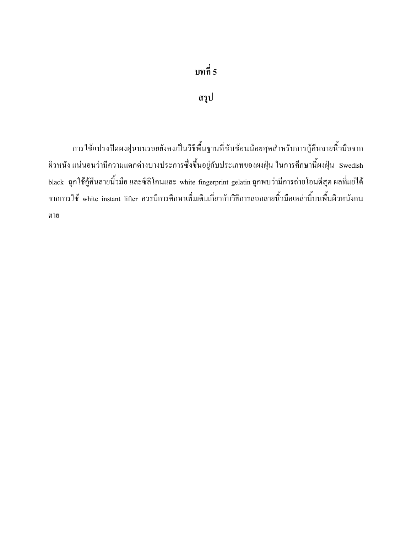#### สรุป

การใช้แปรงปัดผงฝุนบนรอยยังคงเป็นวิธีพื้นฐานที่ซับซ้อนน้อยสุดสำหรับการกู้คืนลายนิ้วมือจาก ผิวหนัง แน่นอนว่ามีความแตกต่างบางประการซึ่งขึ้นอยู่กับประเภทของผงฝุ่น ในการศึกษานี้ผงฝุ่น Swedish black ถูกใช้กู้คืนลายนิ้วมือ และซิลิโคนและ white fingerprint gelatin ถูกพบว่ามีการถ่ายโอนดีสุด ผลที่แย่ได้ จากการใช้ white instant lifter ควรมีการศึกษาเพิ่มเติมเกี่ยวกับวิธีการลอกลายนิ้วมือเหล่านี้บนพื้นผิวหนังคน ตาย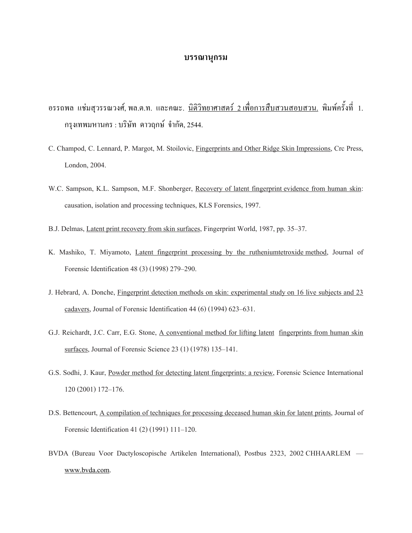#### บรรณานุกรม

- ่ อรรถพล แช่มสวรรณวงศ์, พล.ต.ท. และคณะ. นิติวิทยาศาสตร์ 2 เพื่อการสืบสวนสอบสวน. พิมพ์ครั้งที่ 1. กรงเทพมหานคร : บริษัท ดาวถูกษ์ จำกัด, 2544.
- C. Champod, C. Lennard, P. Margot, M. Stoilovic, Fingerprints and Other Ridge Skin Impressions, Crc Press, London, 2004.
- W.C. Sampson, K.L. Sampson, M.F. Shonberger, Recovery of latent fingerprint evidence from human skin: causation, isolation and processing techniques, KLS Forensics, 1997.
- B.J. Delmas, Latent print recovery from skin surfaces, Fingerprint World, 1987, pp. 35–37.
- K. Mashiko, T. Miyamoto, Latent fingerprint processing by the rutheniumtetroxide method, Journal of Forensic Identification 48 (3) (1998) 279–290.
- J. Hebrard, A. Donche, Fingerprint detection methods on skin: experimental study on 16 live subjects and 23 cadavers, Journal of Forensic Identification 44 (6) (1994) 623–631.
- G.J. Reichardt, J.C. Carr, E.G. Stone, A conventional method for lifting latent fingerprints from human skin surfaces, Journal of Forensic Science 23 (1) (1978) 135–141.
- G.S. Sodhi, J. Kaur, Powder method for detecting latent fingerprints: a review, Forensic Science International 120 (2001) 172-176.
- D.S. Bettencourt, A compilation of techniques for processing deceased human skin for latent prints, Journal of Forensic Identification 41 (2) (1991) 111-120.
- BVDA (Bureau Voor Dactyloscopische Artikelen International), Postbus 2323, 2002 CHHAARLEM www.bvda.com.